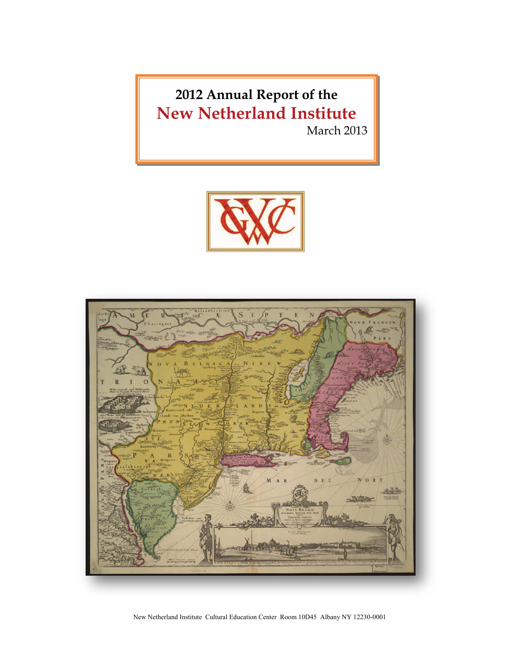**2012 Annual Report of the New Netherland Institute**

March 2013





New Netherland Institute Cultural Education Center Room 10D45 Albany NY 12230-0001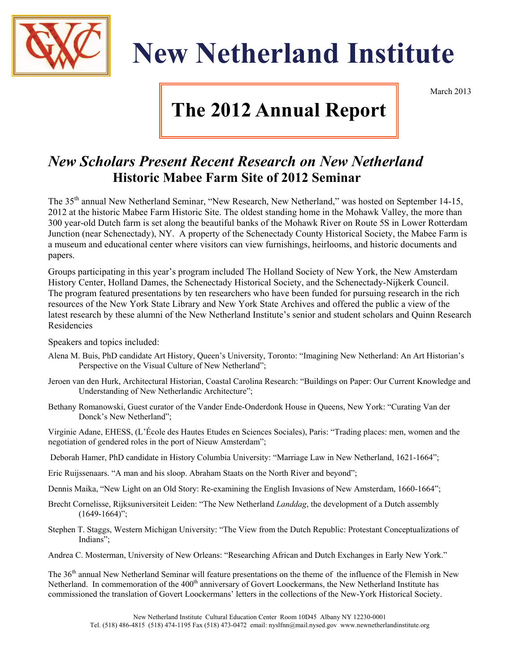

# **New Netherland Institute**

March 2013

## **The 2012 Annual Report**

## *New Scholars Present Recent Research on New Netherland*  **Historic Mabee Farm Site of 2012 Seminar**

The 35<sup>th</sup> annual New Netherland Seminar, "New Research, New Netherland," was hosted on September 14-15, 2012 at the historic Mabee Farm Historic Site. The oldest standing home in the Mohawk Valley, the more than 300 year-old Dutch farm is set along the beautiful banks of the Mohawk River on Route 5S in Lower Rotterdam Junction (near Schenectady), NY. A property of the Schenectady County Historical Society, the Mabee Farm is a museum and educational center where visitors can view furnishings, heirlooms, and historic documents and papers.

Groups participating in this year's program included The Holland Society of New York, the New Amsterdam History Center, Holland Dames, the Schenectady Historical Society, and the Schenectady-Nijkerk Council. The program featured presentations by ten researchers who have been funded for pursuing research in the rich resources of the New York State Library and New York State Archives and offered the public a view of the latest research by these alumni of the New Netherland Institute's senior and student scholars and Quinn Research Residencies

Speakers and topics included:

- Alena M. Buis, PhD candidate Art History, Queen's University, Toronto: "Imagining New Netherland: An Art Historian's Perspective on the Visual Culture of New Netherland";
- Jeroen van den Hurk, Architectural Historian, Coastal Carolina Research: "Buildings on Paper: Our Current Knowledge and Understanding of New Netherlandic Architecture";
- Bethany Romanowski, Guest curator of the Vander Ende-Onderdonk House in Queens, New York: "Curating Van der Donck's New Netherland";

Virginie Adane, EHESS, (L'École des Hautes Etudes en Sciences Sociales), Paris: "Trading places: men, women and the negotiation of gendered roles in the port of Nieuw Amsterdam";

- Deborah Hamer, PhD candidate in History Columbia University: "Marriage Law in New Netherland, 1621-1664";
- Eric Ruijssenaars. "A man and his sloop. Abraham Staats on the North River and beyond";
- Dennis Maika, "New Light on an Old Story: Re-examining the English Invasions of New Amsterdam, 1660-1664";
- Brecht Cornelisse, Rijksuniversiteit Leiden: "The New Netherland *Landdag*, the development of a Dutch assembly  $(1649-1664)$ ";
- Stephen T. Staggs, Western Michigan University: "The View from the Dutch Republic: Protestant Conceptualizations of Indians";
- Andrea C. Mosterman, University of New Orleans: "Researching African and Dutch Exchanges in Early New York."

The 36<sup>th</sup> annual New Netherland Seminar will feature presentations on the theme of the influence of the Flemish in New Netherland. In commemoration of the 400<sup>th</sup> anniversary of Govert Loockermans, the New Netherland Institute has commissioned the translation of Govert Loockermans' letters in the collections of the New-York Historical Society.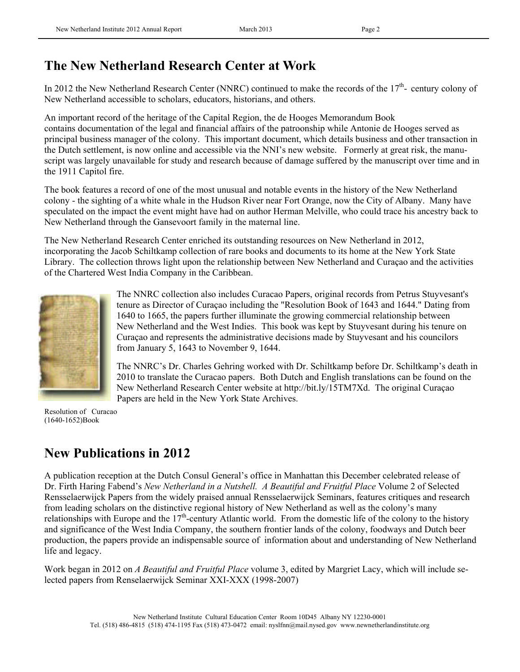## **The New Netherland Research Center at Work**

In 2012 the New Netherland Research Center (NNRC) continued to make the records of the  $17<sup>th</sup>$ - century colony of New Netherland accessible to scholars, educators, historians, and others.

An important record of the heritage of the Capital Region, the de Hooges Memorandum Book contains documentation of the legal and financial affairs of the patroonship while Antonie de Hooges served as principal business manager of the colony. This important document, which details business and other transaction in the Dutch settlement, is now online and accessible via the NNI's new website. Formerly at great risk, the manuscript was largely unavailable for study and research because of damage suffered by the manuscript over time and in the 1911 Capitol fire.

The book features a record of one of the most unusual and notable events in the history of the New Netherland colony - the sighting of a white whale in the Hudson River near Fort Orange, now the City of Albany. Many have speculated on the impact the event might have had on author Herman Melville, who could trace his ancestry back to New Netherland through the Gansevoort family in the maternal line.

The New Netherland Research Center enriched its outstanding resources on New Netherland in 2012, incorporating the Jacob Schiltkamp collection of rare books and documents to its home at the New York State Library. The collection throws light upon the relationship between New Netherland and Curaçao and the activities of the Chartered West India Company in the Caribbean.



The NNRC collection also includes Curacao Papers, original records from Petrus Stuyvesant's tenure as Director of Curaçao including the "Resolution Book of 1643 and 1644." Dating from 1640 to 1665, the papers further illuminate the growing commercial relationship between New Netherland and the West Indies. This book was kept by Stuyvesant during his tenure on Curaçao and represents the administrative decisions made by Stuyvesant and his councilors from January 5, 1643 to November 9, 1644.

The NNRC's Dr. Charles Gehring worked with Dr. Schiltkamp before Dr. Schiltkamp's death in 2010 to translate the Curacao papers. Both Dutch and English translations can be found on the New Netherland Research Center website at http://bit.ly/15TM7Xd. The original Curaçao Papers are held in the New York State Archives.

Resolution of Curacao (1640-1652)Book

## **New Publications in 2012**

A publication reception at the Dutch Consul General's office in Manhattan this December celebrated release of Dr. Firth Haring Fabend's *New Netherland in a Nutshell. A Beautiful and Fruitful Place* Volume 2 of Selected Rensselaerwijck Papers from the widely praised annual Rensselaerwijck Seminars, features critiques and research from leading scholars on the distinctive regional history of New Netherland as well as the colony's many relationships with Europe and the 17<sup>th</sup>-century Atlantic world. From the domestic life of the colony to the history and significance of the West India Company, the southern frontier lands of the colony, foodways and Dutch beer production, the papers provide an indispensable source of information about and understanding of New Netherland life and legacy.

Work began in 2012 on *A Beautiful and Fruitful Place* volume 3, edited by Margriet Lacy, which will include selected papers from Renselaerwijck Seminar XXI-XXX (1998-2007)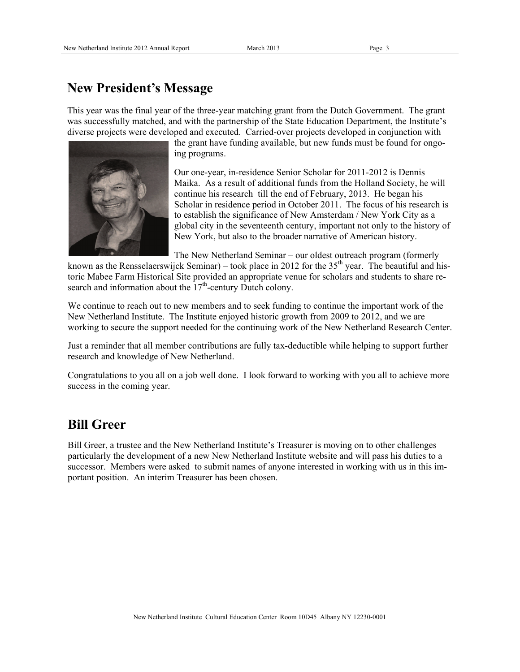#### **New President's Message**

This year was the final year of the three-year matching grant from the Dutch Government. The grant was successfully matched, and with the partnership of the State Education Department, the Institute's diverse projects were developed and executed. Carried-over projects developed in conjunction with



the grant have funding available, but new funds must be found for ongoing programs.

Our one-year, in-residence Senior Scholar for 2011-2012 is Dennis Maika. As a result of additional funds from the Holland Society, he will continue his research till the end of February, 2013. He began his Scholar in residence period in October 2011. The focus of his research is to establish the significance of New Amsterdam / New York City as a global city in the seventeenth century, important not only to the history of New York, but also to the broader narrative of American history.

The New Netherland Seminar – our oldest outreach program (formerly

known as the Rensselaerswijck Seminar) – took place in 2012 for the  $35<sup>th</sup>$  year. The beautiful and historic Mabee Farm Historical Site provided an appropriate venue for scholars and students to share research and information about the  $17<sup>th</sup>$ -century Dutch colony.

We continue to reach out to new members and to seek funding to continue the important work of the New Netherland Institute. The Institute enjoyed historic growth from 2009 to 2012, and we are working to secure the support needed for the continuing work of the New Netherland Research Center.

Just a reminder that all member contributions are fully tax-deductible while helping to support further research and knowledge of New Netherland.

Congratulations to you all on a job well done. I look forward to working with you all to achieve more success in the coming year.

#### **Bill Greer**

Bill Greer, a trustee and the New Netherland Institute's Treasurer is moving on to other challenges particularly the development of a new New Netherland Institute website and will pass his duties to a successor. Members were asked to submit names of anyone interested in working with us in this important position. An interim Treasurer has been chosen.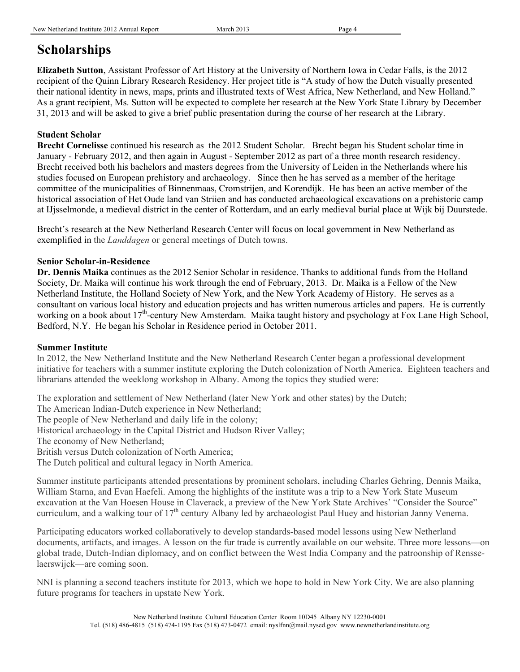## **Scholarships**

**Elizabeth Sutton**, Assistant Professor of Art History at the University of Northern Iowa in Cedar Falls, is the 2012 recipient of the Quinn Library Research Residency. Her project title is "A study of how the Dutch visually presented their national identity in news, maps, prints and illustrated texts of West Africa, New Netherland, and New Holland." As a grant recipient, Ms. Sutton will be expected to complete her research at the New York State Library by December 31, 2013 and will be asked to give a brief public presentation during the course of her research at the Library.

#### **Student Scholar**

**Brecht Cornelisse** continued his research as the 2012 Student Scholar. Brecht began his Student scholar time in January - February 2012, and then again in August - September 2012 as part of a three month research residency. Brecht received both his bachelors and masters degrees from the University of Leiden in the Netherlands where his studies focused on European prehistory and archaeology. Since then he has served as a member of the heritage committee of the municipalities of Binnenmaas, Cromstrijen, and Korendijk. He has been an active member of the historical association of Het Oude land van Striien and has conducted archaeological excavations on a prehistoric camp at IJjsselmonde, a medieval district in the center of Rotterdam, and an early medieval burial place at Wijk bij Duurstede.

Brecht's research at the New Netherland Research Center will focus on local government in New Netherland as exemplified in the *Landdagen* or general meetings of Dutch towns.

#### **Senior Scholar-in-Residence**

**Dr. Dennis Maika** continues as the 2012 Senior Scholar in residence. Thanks to additional funds from the Holland Society, Dr. Maika will continue his work through the end of February, 2013. Dr. Maika is a Fellow of the New Netherland Institute, the Holland Society of New York, and the New York Academy of History. He serves as a consultant on various local history and education projects and has written numerous articles and papers. He is currently working on a book about 17<sup>th</sup>-century New Amsterdam. Maika taught history and psychology at Fox Lane High School, Bedford, N.Y. He began his Scholar in Residence period in October 2011.

#### **Summer Institute**

In 2012, the New Netherland Institute and the New Netherland Research Center began a professional development initiative for teachers with a summer institute exploring the Dutch colonization of North America. Eighteen teachers and librarians attended the weeklong workshop in Albany. Among the topics they studied were:

The exploration and settlement of New Netherland (later New York and other states) by the Dutch;

The American Indian-Dutch experience in New Netherland;

The people of New Netherland and daily life in the colony;

Historical archaeology in the Capital District and Hudson River Valley;

The economy of New Netherland;

British versus Dutch colonization of North America;

The Dutch political and cultural legacy in North America.

Summer institute participants attended presentations by prominent scholars, including Charles Gehring, Dennis Maika, William Starna, and Evan Haefeli. Among the highlights of the institute was a trip to a New York State Museum excavation at the Van Hoesen House in Claverack, a preview of the New York State Archives' "Consider the Source" curriculum, and a walking tour of  $17<sup>th</sup>$  century Albany led by archaeologist Paul Huey and historian Janny Venema.

Participating educators worked collaboratively to develop standards-based model lessons using New Netherland documents, artifacts, and images. A lesson on the fur trade is currently available on our website. Three more lessons—on global trade, Dutch-Indian diplomacy, and on conflict between the West India Company and the patroonship of Rensselaerswijck—are coming soon.

NNI is planning a second teachers institute for 2013, which we hope to hold in New York City. We are also planning future programs for teachers in upstate New York.